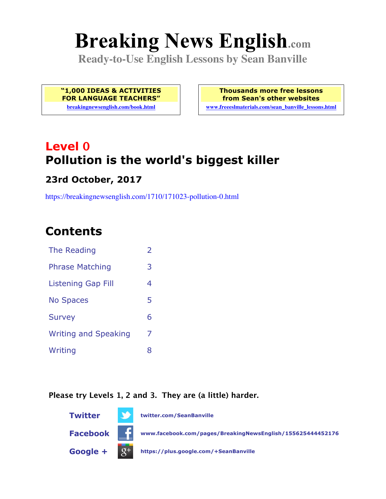# **Breaking News English.com**

**Ready-to-Use English Lessons by Sean Banville**

**"1,000 IDEAS & ACTIVITIES FOR LANGUAGE TEACHERS"**

**breakingnewsenglish.com/book.html**

**Thousands more free lessons from Sean's other websites www.freeeslmaterials.com/sean\_banville\_lessons.html**

# **Level 0 Pollution is the world's biggest killer**

#### **23rd October, 2017**

https://breakingnewsenglish.com/1710/171023-pollution-0.html

# **Contents**

| The Reading                 | $\overline{\phantom{a}}$ |
|-----------------------------|--------------------------|
| <b>Phrase Matching</b>      | 3                        |
| <b>Listening Gap Fill</b>   | 4                        |
| <b>No Spaces</b>            | 5                        |
| <b>Survey</b>               | 6                        |
| <b>Writing and Speaking</b> | 7                        |
| Writing                     | 8                        |
|                             |                          |

#### **Please try Levels 1, 2 and 3. They are (a little) harder.**

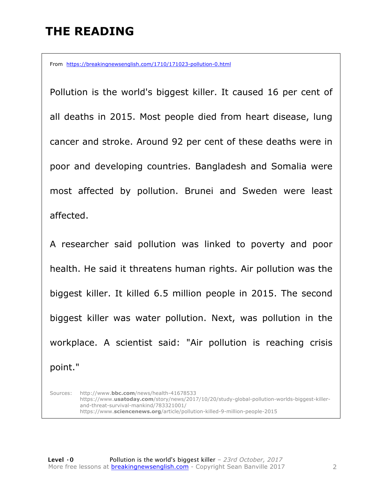# **THE READING**

From https://breakingnewsenglish.com/1710/171023-pollution-0.html

Pollution is the world's biggest killer. It caused 16 per cent of all deaths in 2015. Most people died from heart disease, lung cancer and stroke. Around 92 per cent of these deaths were in poor and developing countries. Bangladesh and Somalia were most affected by pollution. Brunei and Sweden were least affected.

A researcher said pollution was linked to poverty and poor health. He said it threatens human rights. Air pollution was the biggest killer. It killed 6.5 million people in 2015. The second biggest killer was water pollution. Next, was pollution in the workplace. A scientist said: "Air pollution is reaching crisis point."

Sources: http://www.**bbc.com**/news/health-41678533 https://www.**usatoday.com**/story/news/2017/10/20/study-global-pollution-worlds-biggest-killerand-threat-survival-mankind/783321001/ https://www.**sciencenews.org**/article/pollution-killed-9-million-people-2015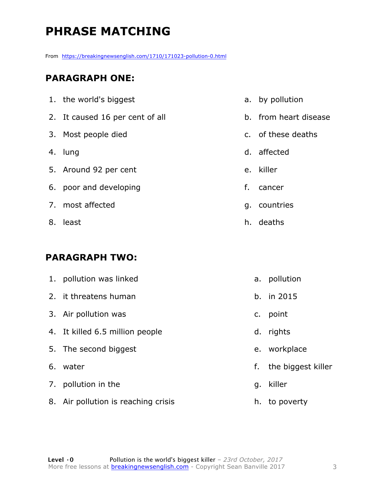# **PHRASE MATCHING**

From https://breakingnewsenglish.com/1710/171023-pollution-0.html

#### **PARAGRAPH ONE:**

| 1. the world's biggest          |    | a. by pollution       |
|---------------------------------|----|-----------------------|
| 2. It caused 16 per cent of all |    | b. from heart disease |
| 3. Most people died             |    | c. of these deaths    |
| 4. lung                         |    | d. affected           |
| 5. Around 92 per cent           |    | e. killer             |
| 6. poor and developing          | f. | cancer                |
| 7. most affected                |    | g. countries          |
| 8. least                        |    | h. deaths             |

#### **PARAGRAPH TWO:**

| 1. pollution was linked             |    | a. pollution       |
|-------------------------------------|----|--------------------|
| 2. it threatens human               |    | b. in $2015$       |
| 3. Air pollution was                | C. | point              |
| 4. It killed 6.5 million people     |    | d. rights          |
| 5. The second biggest               |    | e. workplace       |
| 6. water                            | f. | the biggest killer |
| 7. pollution in the                 |    | g. killer          |
| 8. Air pollution is reaching crisis |    | h. to poverty      |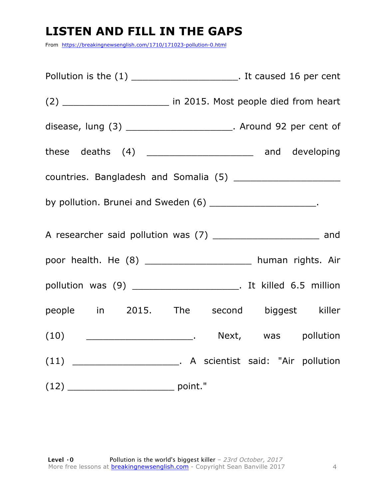# **LISTEN AND FILL IN THE GAPS**

From https://breakingnewsenglish.com/1710/171023-pollution-0.html

| Pollution is the (1) _________________________. It caused 16 per cent |  |
|-----------------------------------------------------------------------|--|
|                                                                       |  |
| disease, lung (3) _________________________. Around 92 per cent of    |  |
| these deaths (4) _________________________ and developing             |  |
|                                                                       |  |
| by pollution. Brunei and Sweden (6) _______________________.          |  |
| A researcher said pollution was (7) ________________________ and      |  |
| poor health. He (8) ______________________ human rights. Air          |  |
|                                                                       |  |
| people in 2015. The second biggest killer                             |  |
|                                                                       |  |
|                                                                       |  |
|                                                                       |  |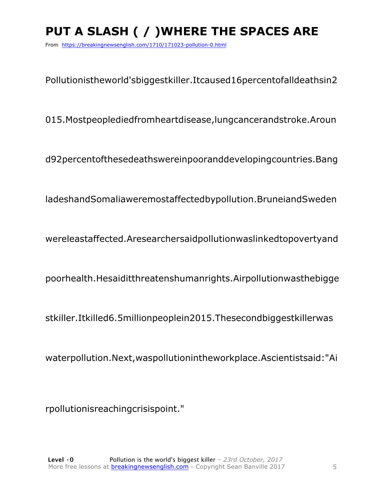# **PUT A SLASH ( / )WHERE THE SPACES ARE**

From https://breakingnewsenglish.com/1710/171023-pollution-0.html

Pollutionistheworld'sbiggestkiller.Itcaused16percentofalldeathsin2

015.Mostpeoplediedfromheartdisease,lungcancerandstroke.Aroun

d92percentofthesedeathswereinpooranddevelopingcountries.Bang

ladeshandSomaliaweremostaffectedbypollution.BruneiandSweden

wereleastaffected.Aresearchersaidpollutionwaslinkedtopovertyand

poorhealth.Hesaiditthreatenshumanrights.Airpollutionwasthebigge

stkiller.Itkilled6.5millionpeoplein2015.Thesecondbiggestkillerwas

waterpollution.Next,waspollutionintheworkplace.Ascientistsaid:"Ai

rpollutionisreachingcrisispoint."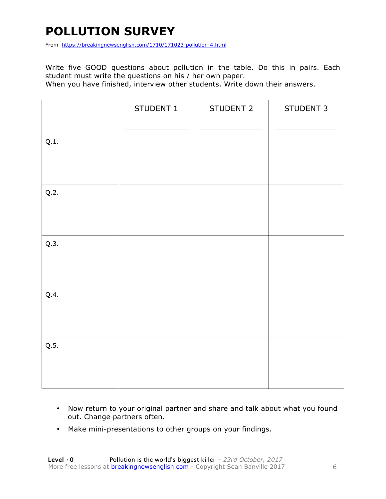# **POLLUTION SURVEY**

From https://breakingnewsenglish.com/1710/171023-pollution-4.html

Write five GOOD questions about pollution in the table. Do this in pairs. Each student must write the questions on his / her own paper.

When you have finished, interview other students. Write down their answers.

|      | STUDENT 1 | STUDENT 2 | STUDENT 3 |
|------|-----------|-----------|-----------|
| Q.1. |           |           |           |
| Q.2. |           |           |           |
| Q.3. |           |           |           |
| Q.4. |           |           |           |
| Q.5. |           |           |           |

- Now return to your original partner and share and talk about what you found out. Change partners often.
- Make mini-presentations to other groups on your findings.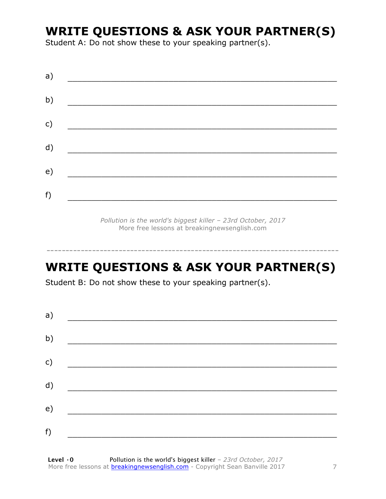### **WRITE QUESTIONS & ASK YOUR PARTNER(S)**

Student A: Do not show these to your speaking partner(s).

| a)            |  |  |
|---------------|--|--|
| b)            |  |  |
| $\mathsf{c})$ |  |  |
| d)            |  |  |
| e)            |  |  |
| f)            |  |  |
|               |  |  |

*Pollution is the world's biggest killer – 23rd October, 2017* More free lessons at breakingnewsenglish.com

# **WRITE QUESTIONS & ASK YOUR PARTNER(S)**

-----------------------------------------------------------------------------

Student B: Do not show these to your speaking partner(s).

| a) |  |  |
|----|--|--|
| b) |  |  |
| c) |  |  |
| d) |  |  |
| e) |  |  |
| f) |  |  |
|    |  |  |